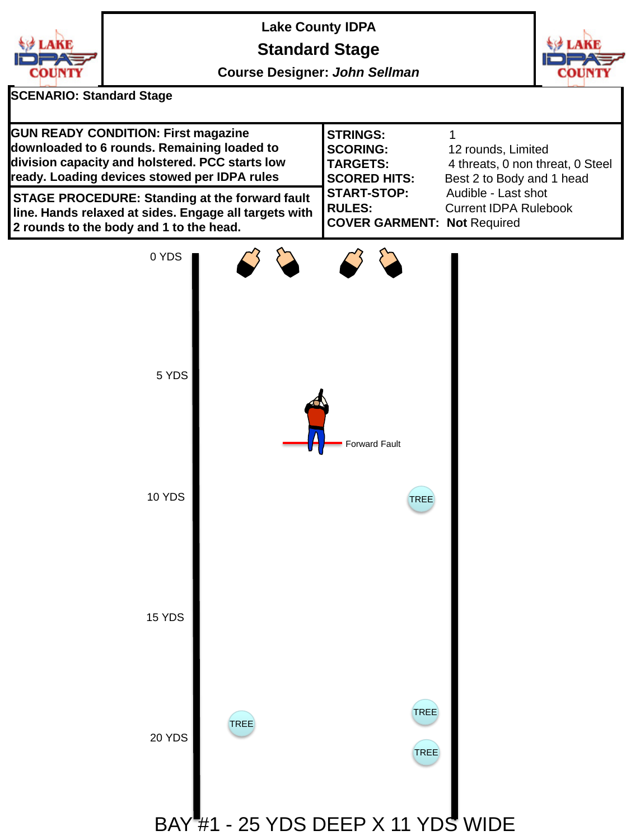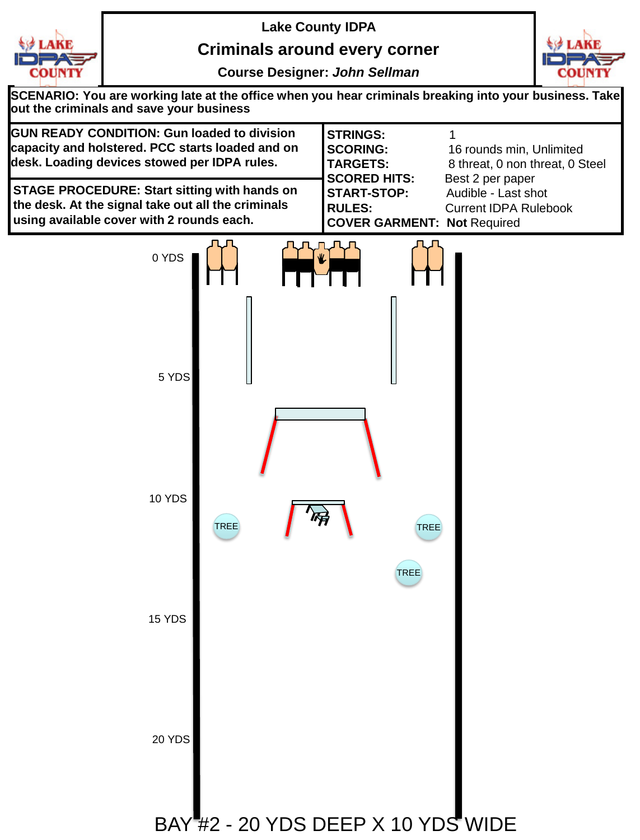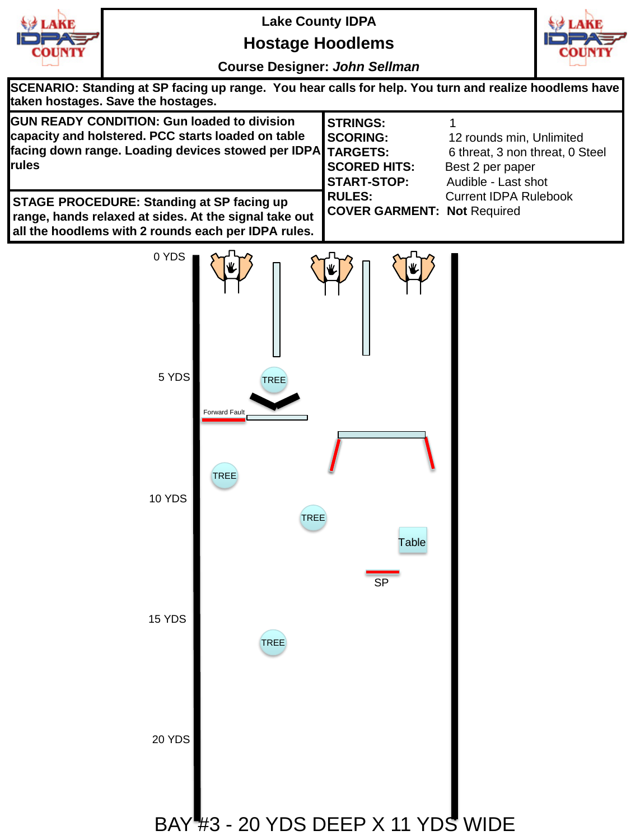

## **Hostage Hoodlems**



**Course Designer:** *John Sellman*

**SCENARIO: Standing at SP facing up range. You hear calls for help. You turn and realize hoodlems have taken hostages. Save the hostages.**

| <b>GUN READY CONDITION: Gun loaded to division</b><br>capacity and holstered. PCC starts loaded on table<br>facing down range. Loading devices stowed per IDPA TARGETS:<br>rules | <b>STRINGS:</b><br><b>SCORING:</b><br><b>SCORED HITS:</b>                 | 12 rounds min, Unlimited<br>6 threat, 3 non threat, 0 Steel<br>Best 2 per paper |
|----------------------------------------------------------------------------------------------------------------------------------------------------------------------------------|---------------------------------------------------------------------------|---------------------------------------------------------------------------------|
| <b>STAGE PROCEDURE: Standing at SP facing up</b><br>range, hands relaxed at sides. At the signal take out<br>all the hoodlems with 2 rounds each per IDPA rules.                 | <b>START-STOP:</b><br><b>RULES:</b><br><b>COVER GARMENT: Not Required</b> | Audible - Last shot<br><b>Current IDPA Rulebook</b>                             |

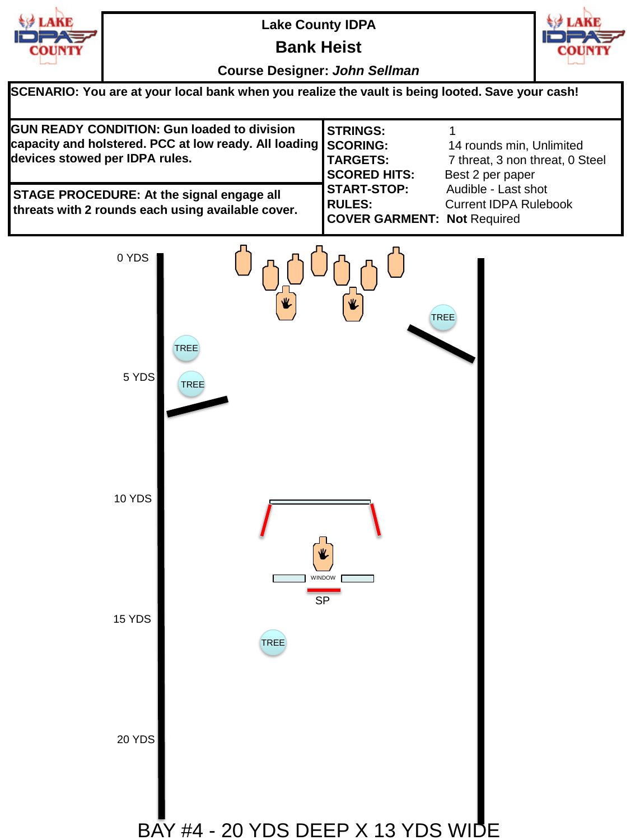| <b>LAKE</b> |
|-------------|
| COUNTY      |
|             |
|             |

**Bank Heist**



| SCENARIO: You are at your local bank when you realize the vault is being looted. Save your cash!                                                       |                                                                           |                                                                                 |  |  |
|--------------------------------------------------------------------------------------------------------------------------------------------------------|---------------------------------------------------------------------------|---------------------------------------------------------------------------------|--|--|
| <b>GUN READY CONDITION: Gun loaded to division</b><br>capacity and holstered. PCC at low ready. All loading SCORING:<br>devices stowed per IDPA rules. | <b>STRINGS:</b><br><b>TARGETS:</b><br><b>SCORED HITS:</b>                 | 14 rounds min, Unlimited<br>7 threat, 3 non threat, 0 Steel<br>Best 2 per paper |  |  |
| <b>STAGE PROCEDURE: At the signal engage all</b><br>threats with 2 rounds each using available cover.                                                  | <b>START-STOP:</b><br><b>RULES:</b><br><b>COVER GARMENT: Not Required</b> | Audible - Last shot<br><b>Current IDPA Rulebook</b>                             |  |  |

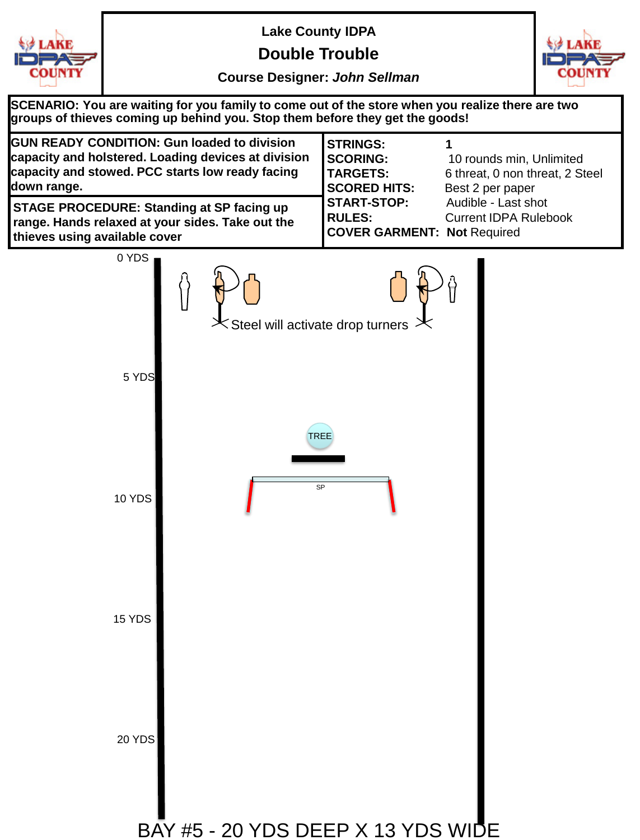

**Double Trouble**



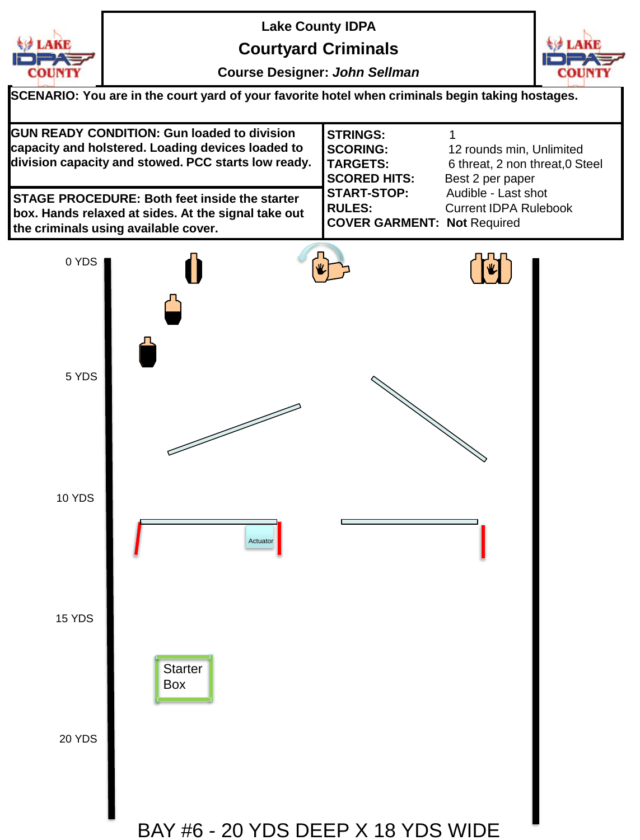

**Courtyard Criminals**



| SCENARIO: You are in the court yard of your favorite hotel when criminals begin taking hostages.                                                               |                                                                              |                                                                                 |  |  |
|----------------------------------------------------------------------------------------------------------------------------------------------------------------|------------------------------------------------------------------------------|---------------------------------------------------------------------------------|--|--|
| <b>GUN READY CONDITION: Gun loaded to division</b><br>capacity and holstered. Loading devices loaded to<br>division capacity and stowed. PCC starts low ready. | <b>STRINGS:</b><br><b>SCORING:</b><br><b>TARGETS:</b><br><b>SCORED HITS:</b> | 12 rounds min, Unlimited<br>6 threat, 2 non threat, 0 Steel<br>Best 2 per paper |  |  |
| <b>STAGE PROCEDURE: Both feet inside the starter</b><br>box. Hands relaxed at sides. At the signal take out<br>the criminals using available cover.            | <b>START-STOP:</b><br>RULES:<br><b>COVER GARMENT: Not Required</b>           | Audible - Last shot<br><b>Current IDPA Rulebook</b>                             |  |  |